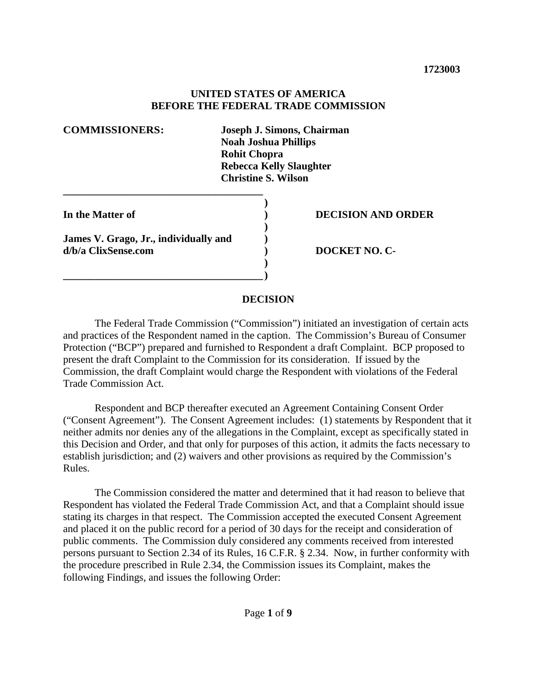#### **UNITED STATES OF AMERICA BEFORE THE FEDERAL TRADE COMMISSION**

| <b>COMMISSIONERS:</b>                                        | Joseph J. Simons, Chairman<br><b>Noah Joshua Phillips</b><br><b>Rohit Chopra</b><br><b>Rebecca Kelly Slaughter</b><br><b>Christine S. Wilson</b> |
|--------------------------------------------------------------|--------------------------------------------------------------------------------------------------------------------------------------------------|
| In the Matter of                                             | <b>DECISION AND ORDER</b>                                                                                                                        |
| James V. Grago, Jr., individually and<br>d/b/a ClixSense.com | <b>DOCKET NO. C-</b>                                                                                                                             |

#### **DECISION**

The Federal Trade Commission ("Commission") initiated an investigation of certain acts and practices of the Respondent named in the caption. The Commission's Bureau of Consumer Protection ("BCP") prepared and furnished to Respondent a draft Complaint. BCP proposed to present the draft Complaint to the Commission for its consideration. If issued by the Commission, the draft Complaint would charge the Respondent with violations of the Federal Trade Commission Act.

Respondent and BCP thereafter executed an Agreement Containing Consent Order ("Consent Agreement"). The Consent Agreement includes: (1) statements by Respondent that it neither admits nor denies any of the allegations in the Complaint, except as specifically stated in this Decision and Order, and that only for purposes of this action, it admits the facts necessary to establish jurisdiction; and (2) waivers and other provisions as required by the Commission's Rules.

The Commission considered the matter and determined that it had reason to believe that Respondent has violated the Federal Trade Commission Act, and that a Complaint should issue stating its charges in that respect. The Commission accepted the executed Consent Agreement and placed it on the public record for a period of 30 days for the receipt and consideration of public comments. The Commission duly considered any comments received from interested persons pursuant to Section 2.34 of its Rules, 16 C.F.R. § 2.34. Now, in further conformity with the procedure prescribed in Rule 2.34, the Commission issues its Complaint, makes the following Findings, and issues the following Order: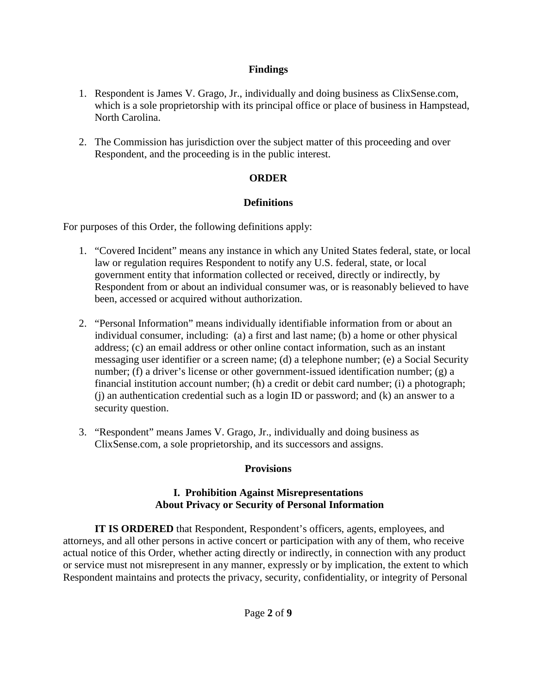#### **Findings**

- 1. Respondent is James V. Grago, Jr., individually and doing business as ClixSense.com, which is a sole proprietorship with its principal office or place of business in Hampstead, North Carolina.
- 2. The Commission has jurisdiction over the subject matter of this proceeding and over Respondent, and the proceeding is in the public interest.

# **ORDER**

# **Definitions**

For purposes of this Order, the following definitions apply:

- 1. "Covered Incident" means any instance in which any United States federal, state, or local law or regulation requires Respondent to notify any U.S. federal, state, or local government entity that information collected or received, directly or indirectly, by Respondent from or about an individual consumer was, or is reasonably believed to have been, accessed or acquired without authorization.
- 2. "Personal Information" means individually identifiable information from or about an individual consumer, including: (a) a first and last name; (b) a home or other physical address; (c) an email address or other online contact information, such as an instant messaging user identifier or a screen name; (d) a telephone number; (e) a Social Security number; (f) a driver's license or other government-issued identification number; (g) a financial institution account number; (h) a credit or debit card number; (i) a photograph; (j) an authentication credential such as a login ID or password; and (k) an answer to a security question.
- 3. "Respondent" means James V. Grago, Jr., individually and doing business as ClixSense.com, a sole proprietorship, and its successors and assigns.

# **Provisions**

#### **I. Prohibition Against Misrepresentations About Privacy or Security of Personal Information**

**IT IS ORDERED** that Respondent, Respondent's officers, agents, employees, and attorneys, and all other persons in active concert or participation with any of them, who receive actual notice of this Order, whether acting directly or indirectly, in connection with any product or service must not misrepresent in any manner, expressly or by implication, the extent to which Respondent maintains and protects the privacy, security, confidentiality, or integrity of Personal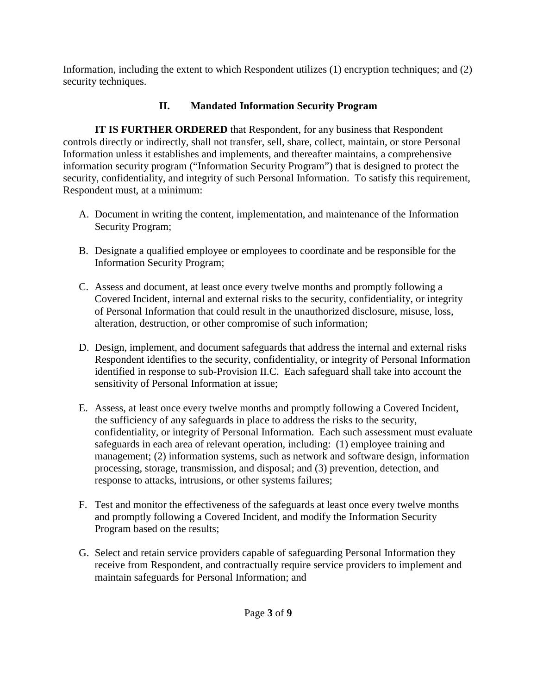Information, including the extent to which Respondent utilizes (1) encryption techniques; and (2) security techniques.

# **II. Mandated Information Security Program**

**IT IS FURTHER ORDERED** that Respondent, for any business that Respondent controls directly or indirectly, shall not transfer, sell, share, collect, maintain, or store Personal Information unless it establishes and implements, and thereafter maintains, a comprehensive information security program ("Information Security Program") that is designed to protect the security, confidentiality, and integrity of such Personal Information. To satisfy this requirement, Respondent must, at a minimum:

- A. Document in writing the content, implementation, and maintenance of the Information Security Program;
- B. Designate a qualified employee or employees to coordinate and be responsible for the Information Security Program;
- C. Assess and document, at least once every twelve months and promptly following a Covered Incident, internal and external risks to the security, confidentiality, or integrity of Personal Information that could result in the unauthorized disclosure, misuse, loss, alteration, destruction, or other compromise of such information;
- D. Design, implement, and document safeguards that address the internal and external risks Respondent identifies to the security, confidentiality, or integrity of Personal Information identified in response to sub-Provision II.C. Each safeguard shall take into account the sensitivity of Personal Information at issue;
- E. Assess, at least once every twelve months and promptly following a Covered Incident, the sufficiency of any safeguards in place to address the risks to the security, confidentiality, or integrity of Personal Information. Each such assessment must evaluate safeguards in each area of relevant operation, including: (1) employee training and management; (2) information systems, such as network and software design, information processing, storage, transmission, and disposal; and (3) prevention, detection, and response to attacks, intrusions, or other systems failures;
- F. Test and monitor the effectiveness of the safeguards at least once every twelve months and promptly following a Covered Incident, and modify the Information Security Program based on the results;
- G. Select and retain service providers capable of safeguarding Personal Information they receive from Respondent, and contractually require service providers to implement and maintain safeguards for Personal Information; and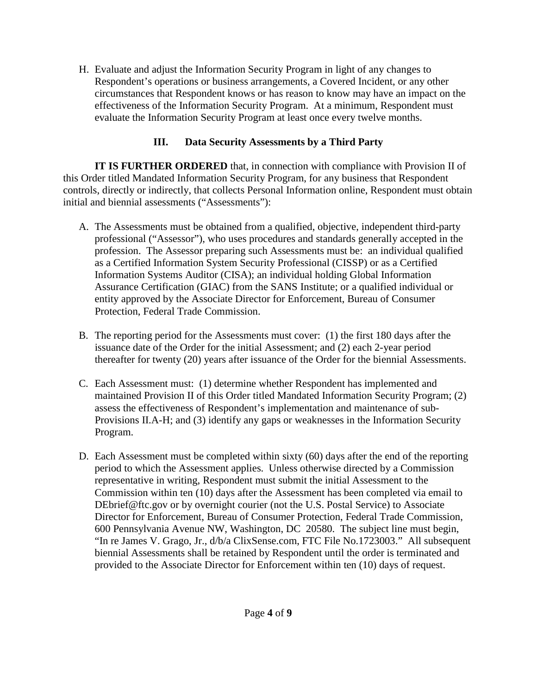H. Evaluate and adjust the Information Security Program in light of any changes to Respondent's operations or business arrangements, a Covered Incident, or any other circumstances that Respondent knows or has reason to know may have an impact on the effectiveness of the Information Security Program. At a minimum, Respondent must evaluate the Information Security Program at least once every twelve months.

# **III. Data Security Assessments by a Third Party**

**IT IS FURTHER ORDERED** that, in connection with compliance with Provision II of this Order titled Mandated Information Security Program, for any business that Respondent controls, directly or indirectly, that collects Personal Information online, Respondent must obtain initial and biennial assessments ("Assessments"):

- A. The Assessments must be obtained from a qualified, objective, independent third-party professional ("Assessor"), who uses procedures and standards generally accepted in the profession. The Assessor preparing such Assessments must be: an individual qualified as a Certified Information System Security Professional (CISSP) or as a Certified Information Systems Auditor (CISA); an individual holding Global Information Assurance Certification (GIAC) from the SANS Institute; or a qualified individual or entity approved by the Associate Director for Enforcement, Bureau of Consumer Protection, Federal Trade Commission.
- B. The reporting period for the Assessments must cover: (1) the first 180 days after the issuance date of the Order for the initial Assessment; and (2) each 2-year period thereafter for twenty (20) years after issuance of the Order for the biennial Assessments.
- C. Each Assessment must: (1) determine whether Respondent has implemented and maintained Provision II of this Order titled Mandated Information Security Program; (2) assess the effectiveness of Respondent's implementation and maintenance of sub-Provisions II.A-H; and (3) identify any gaps or weaknesses in the Information Security Program.
- D. Each Assessment must be completed within sixty (60) days after the end of the reporting period to which the Assessment applies. Unless otherwise directed by a Commission representative in writing, Respondent must submit the initial Assessment to the Commission within ten (10) days after the Assessment has been completed via email to DEbrief@ftc.gov or by overnight courier (not the U.S. Postal Service) to Associate Director for Enforcement, Bureau of Consumer Protection, Federal Trade Commission, 600 Pennsylvania Avenue NW, Washington, DC 20580. The subject line must begin, "In re James V. Grago, Jr., d/b/a ClixSense.com, FTC File No.1723003." All subsequent biennial Assessments shall be retained by Respondent until the order is terminated and provided to the Associate Director for Enforcement within ten (10) days of request.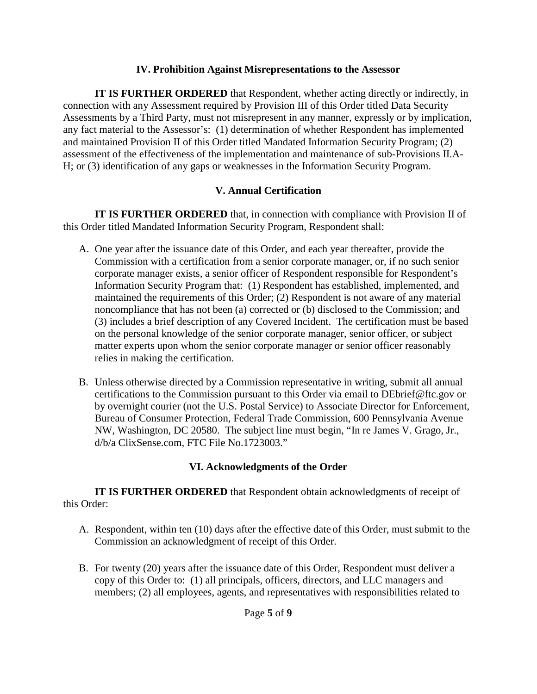#### **IV. Prohibition Against Misrepresentations to the Assessor**

**IT IS FURTHER ORDERED** that Respondent, whether acting directly or indirectly, in connection with any Assessment required by Provision III of this Order titled Data Security Assessments by a Third Party, must not misrepresent in any manner, expressly or by implication, any fact material to the Assessor's: (1) determination of whether Respondent has implemented and maintained Provision II of this Order titled Mandated Information Security Program; (2) assessment of the effectiveness of the implementation and maintenance of sub-Provisions II.A-H; or (3) identification of any gaps or weaknesses in the Information Security Program.

### **V. Annual Certification**

**IT IS FURTHER ORDERED** that, in connection with compliance with Provision II of this Order titled Mandated Information Security Program, Respondent shall:

- A. One year after the issuance date of this Order, and each year thereafter, provide the Commission with a certification from a senior corporate manager, or, if no such senior corporate manager exists, a senior officer of Respondent responsible for Respondent's Information Security Program that: (1) Respondent has established, implemented, and maintained the requirements of this Order; (2) Respondent is not aware of any material noncompliance that has not been (a) corrected or (b) disclosed to the Commission; and (3) includes a brief description of any Covered Incident. The certification must be based on the personal knowledge of the senior corporate manager, senior officer, or subject matter experts upon whom the senior corporate manager or senior officer reasonably relies in making the certification.
- B. Unless otherwise directed by a Commission representative in writing, submit all annual certifications to the Commission pursuant to this Order via email to DEbrief@ftc.gov or by overnight courier (not the U.S. Postal Service) to Associate Director for Enforcement, Bureau of Consumer Protection, Federal Trade Commission, 600 Pennsylvania Avenue NW, Washington, DC 20580. The subject line must begin, "In re James V. Grago, Jr., d/b/a ClixSense.com, FTC File No.1723003."

# **VI. Acknowledgments of the Order**

**IT IS FURTHER ORDERED** that Respondent obtain acknowledgments of receipt of this Order:

- A. Respondent, within ten (10) days after the effective date of this Order, must submit to the Commission an acknowledgment of receipt of this Order.
- B. For twenty (20) years after the issuance date of this Order, Respondent must deliver a copy of this Order to: (1) all principals, officers, directors, and LLC managers and members; (2) all employees, agents, and representatives with responsibilities related to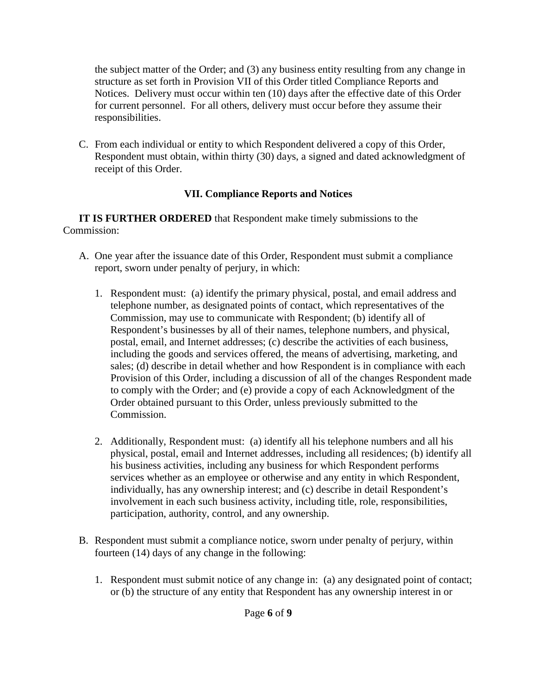the subject matter of the Order; and (3) any business entity resulting from any change in structure as set forth in Provision VII of this Order titled Compliance Reports and Notices. Delivery must occur within ten (10) days after the effective date of this Order for current personnel. For all others, delivery must occur before they assume their responsibilities.

C. From each individual or entity to which Respondent delivered a copy of this Order, Respondent must obtain, within thirty (30) days, a signed and dated acknowledgment of receipt of this Order.

# **VII. Compliance Reports and Notices**

**IT IS FURTHER ORDERED** that Respondent make timely submissions to the Commission:

- A. One year after the issuance date of this Order, Respondent must submit a compliance report, sworn under penalty of perjury, in which:
	- 1. Respondent must: (a) identify the primary physical, postal, and email address and telephone number, as designated points of contact, which representatives of the Commission, may use to communicate with Respondent; (b) identify all of Respondent's businesses by all of their names, telephone numbers, and physical, postal, email, and Internet addresses; (c) describe the activities of each business, including the goods and services offered, the means of advertising, marketing, and sales; (d) describe in detail whether and how Respondent is in compliance with each Provision of this Order, including a discussion of all of the changes Respondent made to comply with the Order; and (e) provide a copy of each Acknowledgment of the Order obtained pursuant to this Order, unless previously submitted to the Commission.
	- 2. Additionally, Respondent must: (a) identify all his telephone numbers and all his physical, postal, email and Internet addresses, including all residences; (b) identify all his business activities, including any business for which Respondent performs services whether as an employee or otherwise and any entity in which Respondent, individually, has any ownership interest; and (c) describe in detail Respondent's involvement in each such business activity, including title, role, responsibilities, participation, authority, control, and any ownership.
- B. Respondent must submit a compliance notice, sworn under penalty of perjury, within fourteen (14) days of any change in the following:
	- 1. Respondent must submit notice of any change in: (a) any designated point of contact; or (b) the structure of any entity that Respondent has any ownership interest in or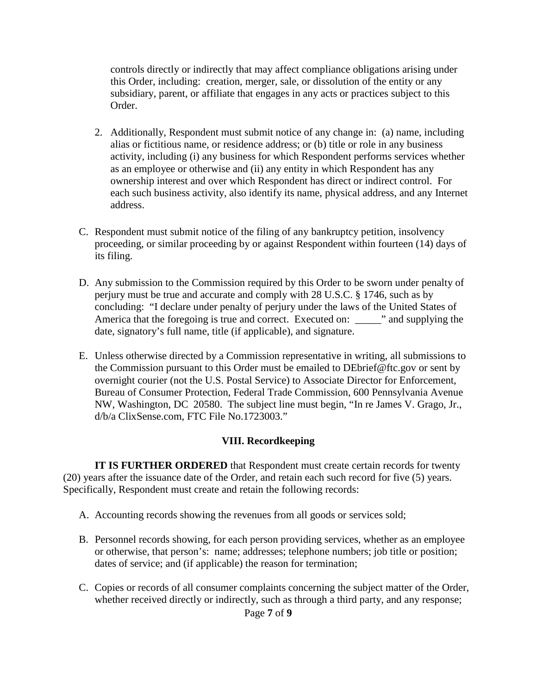controls directly or indirectly that may affect compliance obligations arising under this Order, including: creation, merger, sale, or dissolution of the entity or any subsidiary, parent, or affiliate that engages in any acts or practices subject to this Order.

- 2. Additionally, Respondent must submit notice of any change in: (a) name, including alias or fictitious name, or residence address; or (b) title or role in any business activity, including (i) any business for which Respondent performs services whether as an employee or otherwise and (ii) any entity in which Respondent has any ownership interest and over which Respondent has direct or indirect control. For each such business activity, also identify its name, physical address, and any Internet address.
- C. Respondent must submit notice of the filing of any bankruptcy petition, insolvency proceeding, or similar proceeding by or against Respondent within fourteen (14) days of its filing.
- D. Any submission to the Commission required by this Order to be sworn under penalty of perjury must be true and accurate and comply with 28 U.S.C. § 1746, such as by concluding: "I declare under penalty of perjury under the laws of the United States of America that the foregoing is true and correct. Executed on: \_\_\_\_\_" and supplying the date, signatory's full name, title (if applicable), and signature.
- E. Unless otherwise directed by a Commission representative in writing, all submissions to the Commission pursuant to this Order must be emailed to DEbrief@ftc.gov or sent by overnight courier (not the U.S. Postal Service) to Associate Director for Enforcement, Bureau of Consumer Protection, Federal Trade Commission, 600 Pennsylvania Avenue NW, Washington, DC 20580. The subject line must begin, "In re James V. Grago, Jr., d/b/a ClixSense.com, FTC File No.1723003."

#### **VIII. Recordkeeping**

**IT IS FURTHER ORDERED** that Respondent must create certain records for twenty (20) years after the issuance date of the Order, and retain each such record for five (5) years. Specifically, Respondent must create and retain the following records:

- A. Accounting records showing the revenues from all goods or services sold;
- B. Personnel records showing, for each person providing services, whether as an employee or otherwise, that person's: name; addresses; telephone numbers; job title or position; dates of service; and (if applicable) the reason for termination;
- C. Copies or records of all consumer complaints concerning the subject matter of the Order, whether received directly or indirectly, such as through a third party, and any response;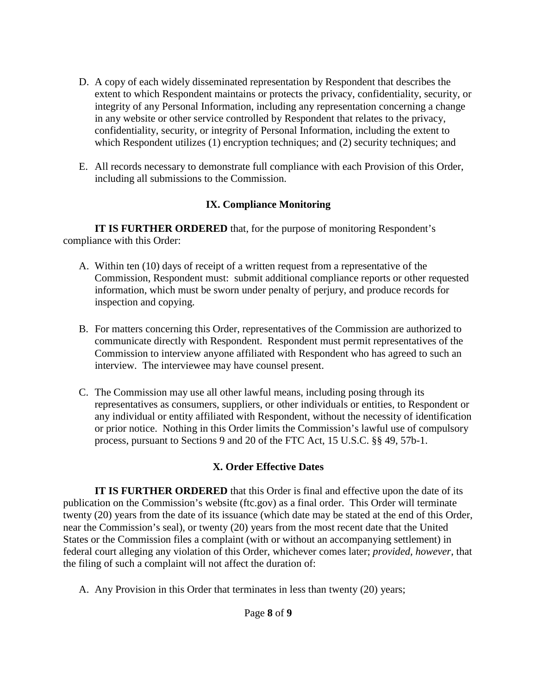- D. A copy of each widely disseminated representation by Respondent that describes the extent to which Respondent maintains or protects the privacy, confidentiality, security, or integrity of any Personal Information, including any representation concerning a change in any website or other service controlled by Respondent that relates to the privacy, confidentiality, security, or integrity of Personal Information, including the extent to which Respondent utilizes (1) encryption techniques; and (2) security techniques; and
- E. All records necessary to demonstrate full compliance with each Provision of this Order, including all submissions to the Commission.

### **IX. Compliance Monitoring**

**IT IS FURTHER ORDERED** that, for the purpose of monitoring Respondent's compliance with this Order:

- A. Within ten (10) days of receipt of a written request from a representative of the Commission, Respondent must: submit additional compliance reports or other requested information, which must be sworn under penalty of perjury, and produce records for inspection and copying.
- B. For matters concerning this Order, representatives of the Commission are authorized to communicate directly with Respondent. Respondent must permit representatives of the Commission to interview anyone affiliated with Respondent who has agreed to such an interview. The interviewee may have counsel present.
- C. The Commission may use all other lawful means, including posing through its representatives as consumers, suppliers, or other individuals or entities, to Respondent or any individual or entity affiliated with Respondent, without the necessity of identification or prior notice. Nothing in this Order limits the Commission's lawful use of compulsory process, pursuant to Sections 9 and 20 of the FTC Act, 15 U.S.C. §§ 49, 57b-1.

# **X. Order Effective Dates**

**IT IS FURTHER ORDERED** that this Order is final and effective upon the date of its publication on the Commission's website (ftc.gov) as a final order. This Order will terminate twenty (20) years from the date of its issuance (which date may be stated at the end of this Order, near the Commission's seal), or twenty (20) years from the most recent date that the United States or the Commission files a complaint (with or without an accompanying settlement) in federal court alleging any violation of this Order, whichever comes later; *provided, however*, that the filing of such a complaint will not affect the duration of:

A. Any Provision in this Order that terminates in less than twenty (20) years;